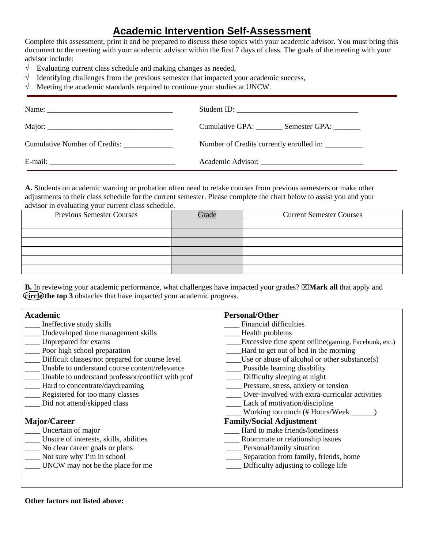## **Academic Intervention Self-Assessment**

Complete this assessment, print it and be prepared to discuss these topics with your academic advisor. You must bring this document to the meeting with your academic advisor within the first 7 days of class. The goals of the meeting with your advisor include:

- $\sqrt{\phantom{a}}$  Evaluating current class schedule and making changes as needed,
- $\sqrt{\phantom{a}}$  Identifying challenges from the previous semester that impacted your academic success,
- $\sqrt{\phantom{a}}$  Meeting the academic standards required to continue your studies at UNCW.

|                                      | Student ID:                                        |
|--------------------------------------|----------------------------------------------------|
|                                      | Cumulative GPA: Semester GPA:                      |
| <b>Cumulative Number of Credits:</b> | Number of Credits currently enrolled in: _________ |
|                                      |                                                    |

**A.** Students on academic warning or probation often need to retake courses from previous semesters or make other adjustments to their class schedule for the current semester. Please complete the chart below to assist you and your advisor in evaluating your current class schedule.

| --<br><b>Previous Semester Courses</b> | Grade | <b>Current Semester Courses</b> |
|----------------------------------------|-------|---------------------------------|
|                                        |       |                                 |
|                                        |       |                                 |
|                                        |       |                                 |
|                                        |       |                                 |
|                                        |       |                                 |
|                                        |       |                                 |

**B.** In reviewing your academic performance, what challenges have impacted your grades?  $\boxtimes$ **Mark all** that apply and **circle the top 3** obstacles that have impacted your academic progress.

| <b>Academic</b>                                   | <b>Personal/Other</b>                               |
|---------------------------------------------------|-----------------------------------------------------|
| Ineffective study skills                          | Financial difficulties                              |
| Undeveloped time management skills                | Health problems                                     |
| Unprepared for exams                              | Excessive time spent online(gaming, Facebook, etc.) |
| Poor high school preparation                      | Hard to get out of bed in the morning               |
| Difficult classes/not prepared for course level   | Use or abuse of alcohol or other substance(s)       |
| Unable to understand course content/relevance     | Possible learning disability                        |
| Unable to understand professor/conflict with prof | Difficulty sleeping at night                        |
| Hard to concentrate/daydreaming                   | Pressure, stress, anxiety or tension                |
| Registered for too many classes                   | Over-involved with extra-curricular activities      |
| Did not attend/skipped class                      | Lack of motivation/discipline                       |
|                                                   | Working too much (# Hours/Week _                    |
| Major/Career                                      | <b>Family/Social Adjustment</b>                     |
| Uncertain of major                                | Hard to make friends/loneliness                     |
| Unsure of interests, skills, abilities            | Roommate or relationship issues                     |
| No clear career goals or plans                    | Personal/family situation                           |
| Not sure why I'm in school                        | Separation from family, friends, home               |
| UNCW may not be the place for me                  | Difficulty adjusting to college life                |
|                                                   |                                                     |

## **Other factors not listed above:**